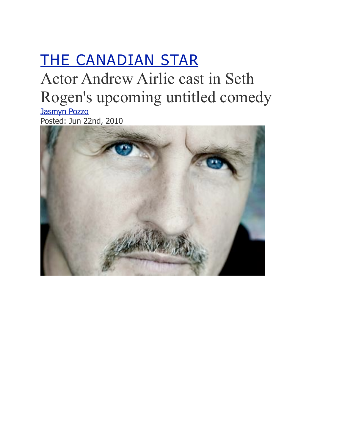## [THE CANADIAN STAR](http://www.vancouverobserver.com/blogs/canadianstar)

## Actor Andrew Airlie cast in Seth Rogen's upcoming untitled comedy

[Jasmyn Pozzo](http://www.vancouverobserver.com/contributors/jasmyn-pozzo) Posted: Jun 22nd, 2010

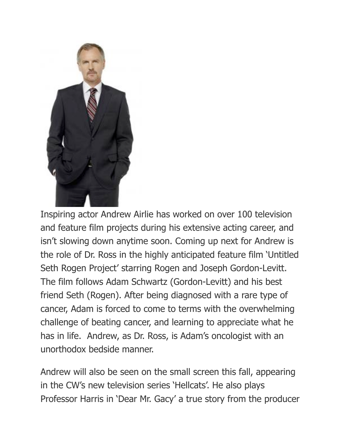

Inspiring actor Andrew Airlie has worked on over 100 television and feature film projects during his extensive acting career, and isn't slowing down anytime soon. Coming up next for Andrew is the role of Dr. Ross in the highly anticipated feature film 'Untitled Seth Rogen Project' starring Rogen and Joseph Gordon-Levitt. The film follows Adam Schwartz (Gordon-Levitt) and his best friend Seth (Rogen). After being diagnosed with a rare type of cancer, Adam is forced to come to terms with the overwhelming challenge of beating cancer, and learning to appreciate what he has in life. Andrew, as Dr. Ross, is Adam's oncologist with an unorthodox bedside manner.

Andrew will also be seen on the small screen this fall, appearing in the CW's new television series 'Hellcats'. He also plays Professor Harris in 'Dear Mr. Gacy' a true story from the producer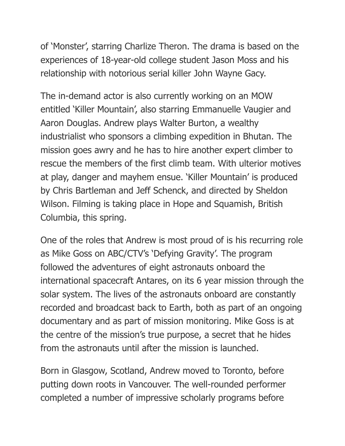of 'Monster', starring Charlize Theron. The drama is based on the experiences of 18-year-old college student Jason Moss and his relationship with notorious serial killer John Wayne Gacy.

The in-demand actor is also currently working on an MOW entitled 'Killer Mountain', also starring Emmanuelle Vaugier and Aaron Douglas. Andrew plays Walter Burton, a wealthy industrialist who sponsors a climbing expedition in Bhutan. The mission goes awry and he has to hire another expert climber to rescue the members of the first climb team. With ulterior motives at play, danger and mayhem ensue. 'Killer Mountain' is produced by Chris Bartleman and Jeff Schenck, and directed by Sheldon Wilson. Filming is taking place in Hope and Squamish, British Columbia, this spring.

One of the roles that Andrew is most proud of is his recurring role as Mike Goss on ABC/CTV's 'Defying Gravity'. The program followed the adventures of eight astronauts onboard the international spacecraft Antares, on its 6 year mission through the solar system. The lives of the astronauts onboard are constantly recorded and broadcast back to Earth, both as part of an ongoing documentary and as part of mission monitoring. Mike Goss is at the centre of the mission's true purpose, a secret that he hides from the astronauts until after the mission is launched.

Born in Glasgow, Scotland, Andrew moved to Toronto, before putting down roots in Vancouver. The well-rounded performer completed a number of impressive scholarly programs before